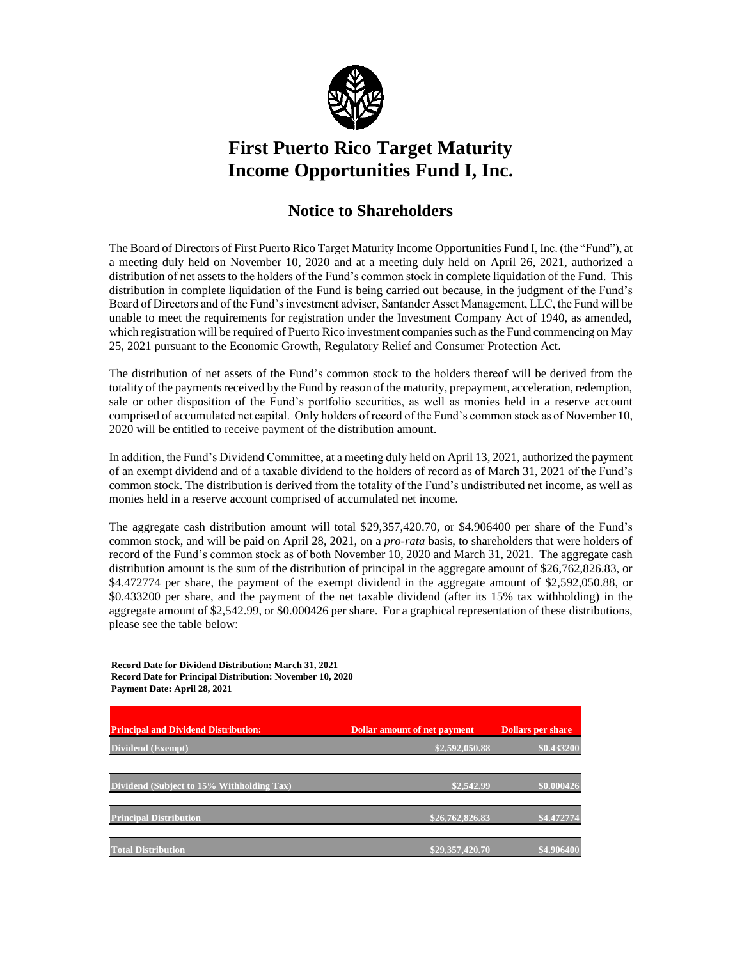

## **First Puerto Rico Target Maturity Income Opportunities Fund I, Inc.**

## **Notice to Shareholders**

The Board of Directors of First Puerto Rico Target Maturity Income Opportunities Fund I, Inc. (the "Fund"), at a meeting duly held on November 10, 2020 and at a meeting duly held on April 26, 2021, authorized a distribution of net assets to the holders of the Fund's common stock in complete liquidation of the Fund. This distribution in complete liquidation of the Fund is being carried out because, in the judgment of the Fund's Board of Directors and of the Fund's investment adviser, Santander Asset Management, LLC, the Fund will be unable to meet the requirements for registration under the Investment Company Act of 1940, as amended, which registration will be required of Puerto Rico investment companies such as the Fund commencing on May 25, 2021 pursuant to the Economic Growth, Regulatory Relief and Consumer Protection Act.

The distribution of net assets of the Fund's common stock to the holders thereof will be derived from the totality of the payments received by the Fund by reason of the maturity, prepayment, acceleration, redemption, sale or other disposition of the Fund's portfolio securities, as well as monies held in a reserve account comprised of accumulated net capital. Only holders of record of the Fund's common stock as of November 10, 2020 will be entitled to receive payment of the distribution amount.

In addition, the Fund's Dividend Committee, at a meeting duly held on April 13, 2021, authorized the payment of an exempt dividend and of a taxable dividend to the holders of record as of March 31, 2021 of the Fund's common stock. The distribution is derived from the totality of the Fund's undistributed net income, as well as monies held in a reserve account comprised of accumulated net income.

The aggregate cash distribution amount will total \$29,357,420.70, or \$4.906400 per share of the Fund's common stock, and will be paid on April 28, 2021, on a *pro-rata* basis, to shareholders that were holders of record of the Fund's common stock as of both November 10, 2020 and March 31, 2021. The aggregate cash distribution amount is the sum of the distribution of principal in the aggregate amount of \$26,762,826.83, or \$4.472774 per share, the payment of the exempt dividend in the aggregate amount of \$2,592,050.88, or \$0.433200 per share, and the payment of the net taxable dividend (after its 15% tax withholding) in the aggregate amount of \$2,542.99, or \$0.000426 per share. For a graphical representation of these distributions, please see the table below:

**Record Date for Dividend Distribution: March 31, 2021 Record Date for Principal Distribution: November 10, 2020 Payment Date: April 28, 2021**

| <b>Principal and Dividend Distribution:</b> | <b>Dollar amount of net payment</b> | <b>Dollars per share</b> |
|---------------------------------------------|-------------------------------------|--------------------------|
| Dividend (Exempt)                           | \$2,592,050.88                      | \$0.433200               |
|                                             |                                     |                          |
| Dividend (Subject to 15% Withholding Tax)   | \$2,542.99                          | \$0.000426               |
|                                             |                                     |                          |
| <b>Principal Distribution</b>               | \$26,762,826.83                     | \$4.472774               |
| <b>Total Distribution</b>                   | \$29,357,420.70                     | \$4.906400               |